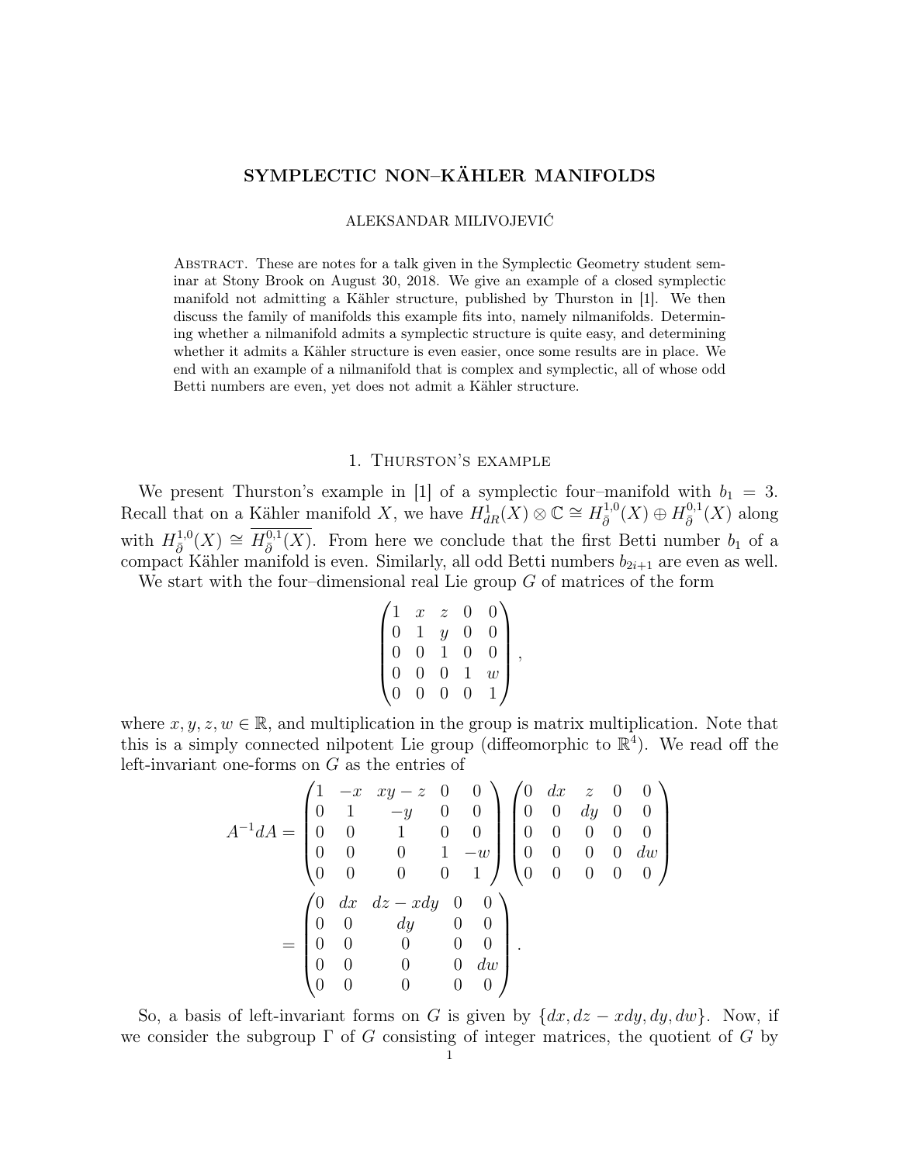# SYMPLECTIC NON–KÄHLER MANIFOLDS

ALEKSANDAR MILIVOJEVIĆ

Abstract. These are notes for a talk given in the Symplectic Geometry student seminar at Stony Brook on August 30, 2018. We give an example of a closed symplectic manifold not admitting a Kähler structure, published by Thurston in [1]. We then discuss the family of manifolds this example fits into, namely nilmanifolds. Determining whether a nilmanifold admits a symplectic structure is quite easy, and determining whether it admits a Kähler structure is even easier, once some results are in place. We end with an example of a nilmanifold that is complex and symplectic, all of whose odd Betti numbers are even, yet does not admit a Kähler structure.

## 1. Thurston's example

We present Thurston's example in [1] of a symplectic four–manifold with  $b_1 = 3$ . Recall that on a Kähler manifold X, we have  $H_{dR}^1(X) \otimes \mathbb{C} \cong H_{\bar{\partial}}^{1,0}$  $\overline{\partial}^{1,0}(X)\oplus H^{0,1}_{\overline{\partial}}$  $\frac{1}{\bar{\partial}}(X)$  along with  $H_{\bar{a}}^{1,0}$  $\overline{\partial}^{1,0}(X) \cong \overline{H_{\bar{\partial}}^{0,1}}$  $\frac{\partial^{0,1}(X)}{\partial^{0,1}(X)}$ . From here we conclude that the first Betti number  $b_1$  of a compact Kähler manifold is even. Similarly, all odd Betti numbers  $b_{2i+1}$  are even as well.

We start with the four-dimensional real Lie group  $G$  of matrices of the form

$$
\begin{pmatrix} 1 & x & z & 0 & 0 \\ 0 & 1 & y & 0 & 0 \\ 0 & 0 & 1 & 0 & 0 \\ 0 & 0 & 0 & 1 & w \\ 0 & 0 & 0 & 0 & 1 \end{pmatrix},
$$

where  $x, y, z, w \in \mathbb{R}$ , and multiplication in the group is matrix multiplication. Note that this is a simply connected nilpotent Lie group (diffeomorphic to  $\mathbb{R}^4$ ). We read off the left-invariant one-forms on G as the entries of

$$
A^{-1}dA = \begin{pmatrix} 1 & -x & xy - z & 0 & 0 \\ 0 & 1 & -y & 0 & 0 \\ 0 & 0 & 1 & 0 & 0 \\ 0 & 0 & 0 & 1 & -w \\ 0 & 0 & 0 & 0 & 1 \end{pmatrix} \begin{pmatrix} 0 & dx & z & 0 & 0 \\ 0 & 0 & dy & 0 & 0 \\ 0 & 0 & 0 & 0 & 0 \\ 0 & 0 & 0 & 0 & dw \\ 0 & 0 & 0 & 0 & 0 \end{pmatrix}
$$

$$
= \begin{pmatrix} 0 & dx & dz - xdy & 0 & 0 \\ 0 & 0 & dy & 0 & 0 \\ 0 & 0 & 0 & 0 & 0 \\ 0 & 0 & 0 & 0 & dw \\ 0 & 0 & 0 & 0 & 0 \end{pmatrix}.
$$

So, a basis of left-invariant forms on G is given by  $\{dx, dz - xdy, dy, dw\}$ . Now, if we consider the subgroup  $\Gamma$  of G consisting of integer matrices, the quotient of G by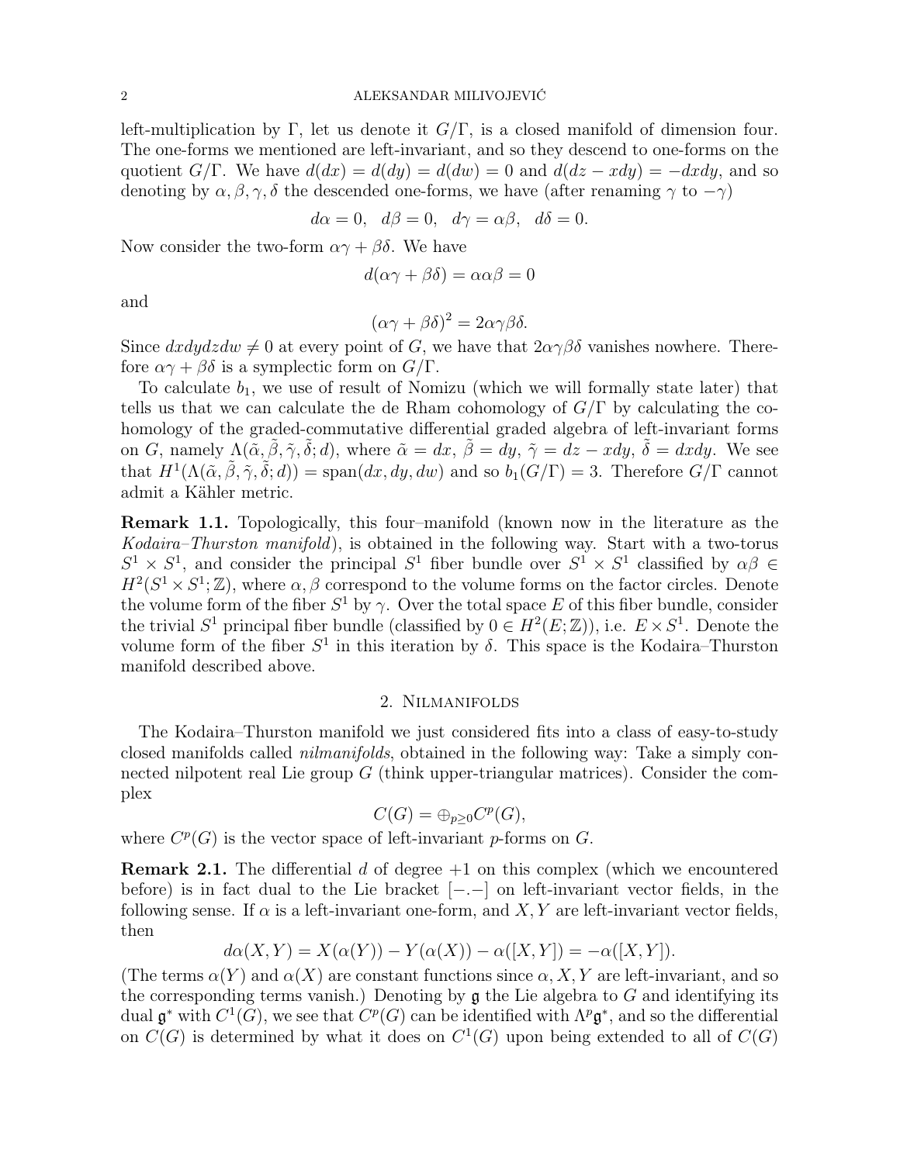left-multiplication by Γ, let us denote it  $G/\Gamma$ , is a closed manifold of dimension four. The one-forms we mentioned are left-invariant, and so they descend to one-forms on the quotient  $G/\Gamma$ . We have  $d(dx) = d(dy) = d(dw) = 0$  and  $d(dz - xdy) = -dxdy$ , and so denoting by  $\alpha, \beta, \gamma, \delta$  the descended one-forms, we have (after renaming  $\gamma$  to  $-\gamma$ )

$$
d\alpha = 0
$$
,  $d\beta = 0$ ,  $d\gamma = \alpha\beta$ ,  $d\delta = 0$ .

Now consider the two-form  $\alpha\gamma + \beta\delta$ . We have

$$
d(\alpha \gamma + \beta \delta) = \alpha \alpha \beta = 0
$$

and

$$
(\alpha \gamma + \beta \delta)^2 = 2\alpha \gamma \beta \delta.
$$

Since  $dxdydzdw \neq 0$  at every point of G, we have that  $2\alpha\gamma\beta\delta$  vanishes nowhere. Therefore  $\alpha\gamma + \beta\delta$  is a symplectic form on  $G/\Gamma$ .

To calculate  $b_1$ , we use of result of Nomizu (which we will formally state later) that tells us that we can calculate the de Rham cohomology of  $G/\Gamma$  by calculating the cohomology of the graded-commutative differential graded algebra of left-invariant forms on G, namely  $\Lambda(\tilde{\alpha}, \tilde{\beta}, \tilde{\gamma}, \tilde{\delta}; d)$ , where  $\tilde{\alpha} = dx, \tilde{\beta} = dy, \tilde{\gamma} = dz - xdy, \tilde{\delta} = dx dy$ . We see that  $H^1(\Lambda(\tilde{\alpha}, \tilde{\beta}, \tilde{\gamma}, \tilde{\delta}; d)) = \text{span}(dx, dy, dw)$  and so  $b_1(G/\Gamma) = 3$ . Therefore  $G/\Gamma$  cannot admit a Kähler metric.

Remark 1.1. Topologically, this four–manifold (known now in the literature as the Kodaira–Thurston manifold), is obtained in the following way. Start with a two-torus  $S^1 \times S^1$ , and consider the principal  $S^1$  fiber bundle over  $S^1 \times S^1$  classified by  $\alpha\beta \in$  $H^2(S^1 \times S^1; \mathbb{Z})$ , where  $\alpha, \beta$  correspond to the volume forms on the factor circles. Denote the volume form of the fiber  $S^1$  by  $\gamma$ . Over the total space E of this fiber bundle, consider the trivial  $S^1$  principal fiber bundle (classified by  $0 \in H^2(E; \mathbb{Z})$ ), i.e.  $E \times S^1$ . Denote the volume form of the fiber  $S^1$  in this iteration by  $\delta$ . This space is the Kodaira–Thurston manifold described above.

## 2. Nilmanifolds

The Kodaira–Thurston manifold we just considered fits into a class of easy-to-study closed manifolds called nilmanifolds, obtained in the following way: Take a simply connected nilpotent real Lie group  $G$  (think upper-triangular matrices). Consider the complex

$$
C(G) = \bigoplus_{p \geq 0} C^p(G),
$$

where  $C^p(G)$  is the vector space of left-invariant p-forms on G.

**Remark 2.1.** The differential d of degree  $+1$  on this complex (which we encountered before) is in fact dual to the Lie bracket [−.−] on left-invariant vector fields, in the following sense. If  $\alpha$  is a left-invariant one-form, and  $X, Y$  are left-invariant vector fields, then

$$
d\alpha(X,Y) = X(\alpha(Y)) - Y(\alpha(X)) - \alpha([X,Y]) = -\alpha([X,Y]).
$$

(The terms  $\alpha(Y)$  and  $\alpha(X)$  are constant functions since  $\alpha, X, Y$  are left-invariant, and so the corresponding terms vanish.) Denoting by  $\mathfrak g$  the Lie algebra to G and identifying its dual  $\mathfrak{g}^*$  with  $C^1(G)$ , we see that  $C^p(G)$  can be identified with  $\Lambda^p \mathfrak{g}^*$ , and so the differential on  $C(G)$  is determined by what it does on  $C^1(G)$  upon being extended to all of  $C(G)$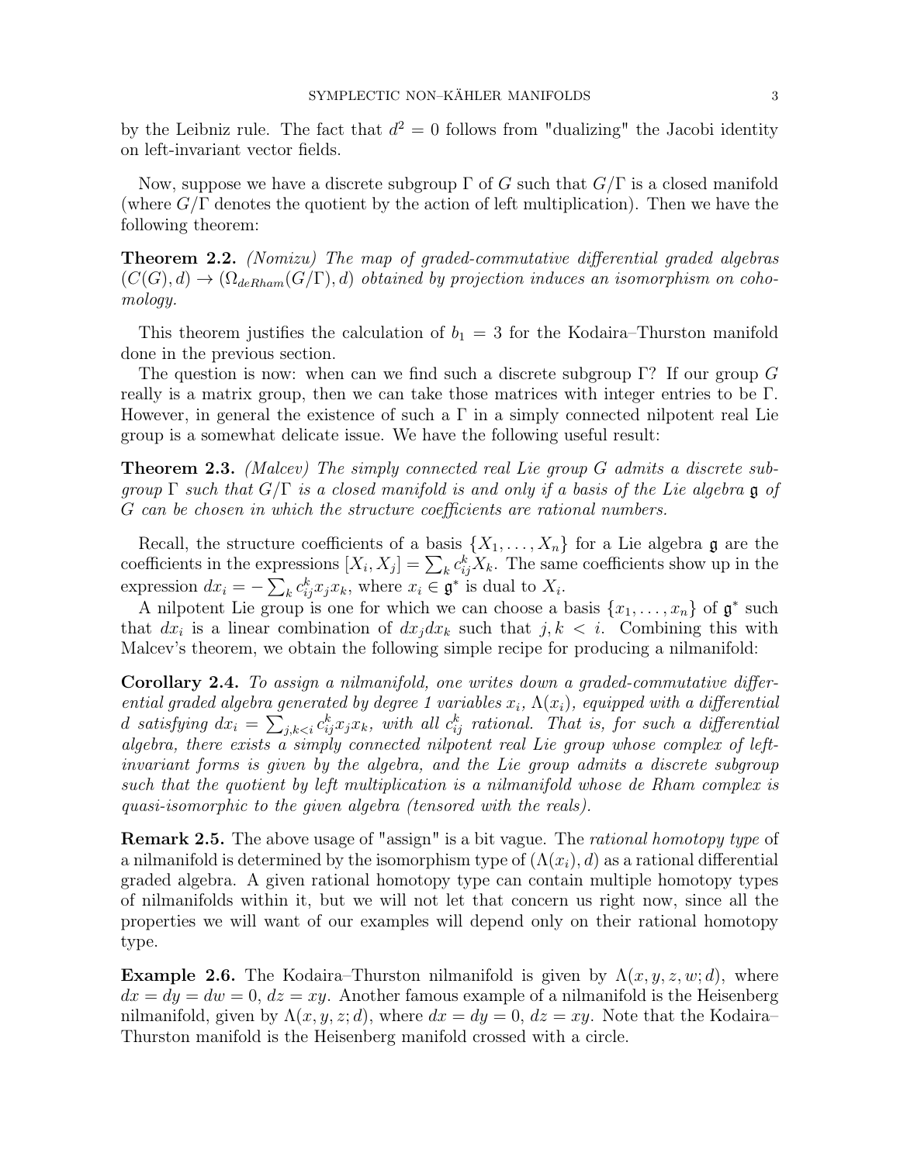by the Leibniz rule. The fact that  $d^2 = 0$  follows from "dualizing" the Jacobi identity on left-invariant vector fields.

Now, suppose we have a discrete subgroup  $\Gamma$  of G such that  $G/\Gamma$  is a closed manifold (where  $G/\Gamma$  denotes the quotient by the action of left multiplication). Then we have the following theorem:

Theorem 2.2. (Nomizu) The map of graded-commutative differential graded algebras  $(C(G), d) \to (\Omega_{deRham}(G/\Gamma), d)$  obtained by projection induces an isomorphism on cohomology.

This theorem justifies the calculation of  $b_1 = 3$  for the Kodaira–Thurston manifold done in the previous section.

The question is now: when can we find such a discrete subgroup  $\Gamma$ ? If our group G really is a matrix group, then we can take those matrices with integer entries to be Γ. However, in general the existence of such a  $\Gamma$  in a simply connected nilpotent real Lie group is a somewhat delicate issue. We have the following useful result:

Theorem 2.3. (Malcev) The simply connected real Lie group G admits a discrete subgroup  $\Gamma$  such that  $G/\Gamma$  is a closed manifold is and only if a basis of the Lie algebra g of G can be chosen in which the structure coefficients are rational numbers.

Recall, the structure coefficients of a basis  $\{X_1, \ldots, X_n\}$  for a Lie algebra g are the coefficients in the expressions  $[X_i, X_j] = \sum_k c_{ij}^k X_k$ . The same coefficients show up in the expression  $dx_i = -\sum_k c_{ij}^k x_j x_k$ , where  $x_i \in \mathfrak{g}^*$  is dual to  $X_i$ .

A nilpotent Lie group is one for which we can choose a basis  $\{x_1, \ldots, x_n\}$  of  $\mathfrak{g}^*$  such that  $dx_i$  is a linear combination of  $dx_j dx_k$  such that  $j, k < i$ . Combining this with Malcev's theorem, we obtain the following simple recipe for producing a nilmanifold:

Corollary 2.4. To assign a nilmanifold, one writes down a graded-commutative differential graded algebra generated by degree 1 variables  $x_i$ ,  $\Lambda(x_i)$ , equipped with a differential d satisfying  $dx_i = \sum_{j,k < i} c_{ij}^k x_j x_k$ , with all  $c_{ij}^k$  rational. That is, for such a differential algebra, there exists a simply connected nilpotent real Lie group whose complex of leftinvariant forms is given by the algebra, and the Lie group admits a discrete subgroup such that the quotient by left multiplication is a nilmanifold whose de Rham complex is quasi-isomorphic to the given algebra (tensored with the reals).

**Remark 2.5.** The above usage of "assign" is a bit vague. The *rational homotopy type* of a nilmanifold is determined by the isomorphism type of  $(\Lambda(x_i), d)$  as a rational differential graded algebra. A given rational homotopy type can contain multiple homotopy types of nilmanifolds within it, but we will not let that concern us right now, since all the properties we will want of our examples will depend only on their rational homotopy type.

**Example 2.6.** The Kodaira–Thurston nilmanifold is given by  $\Lambda(x, y, z, w; d)$ , where  $dx = dy = dw = 0, dz = xy$ . Another famous example of a nilmanifold is the Heisenberg nilmanifold, given by  $\Lambda(x, y, z; d)$ , where  $dx = dy = 0$ ,  $dz = xy$ . Note that the Kodaira– Thurston manifold is the Heisenberg manifold crossed with a circle.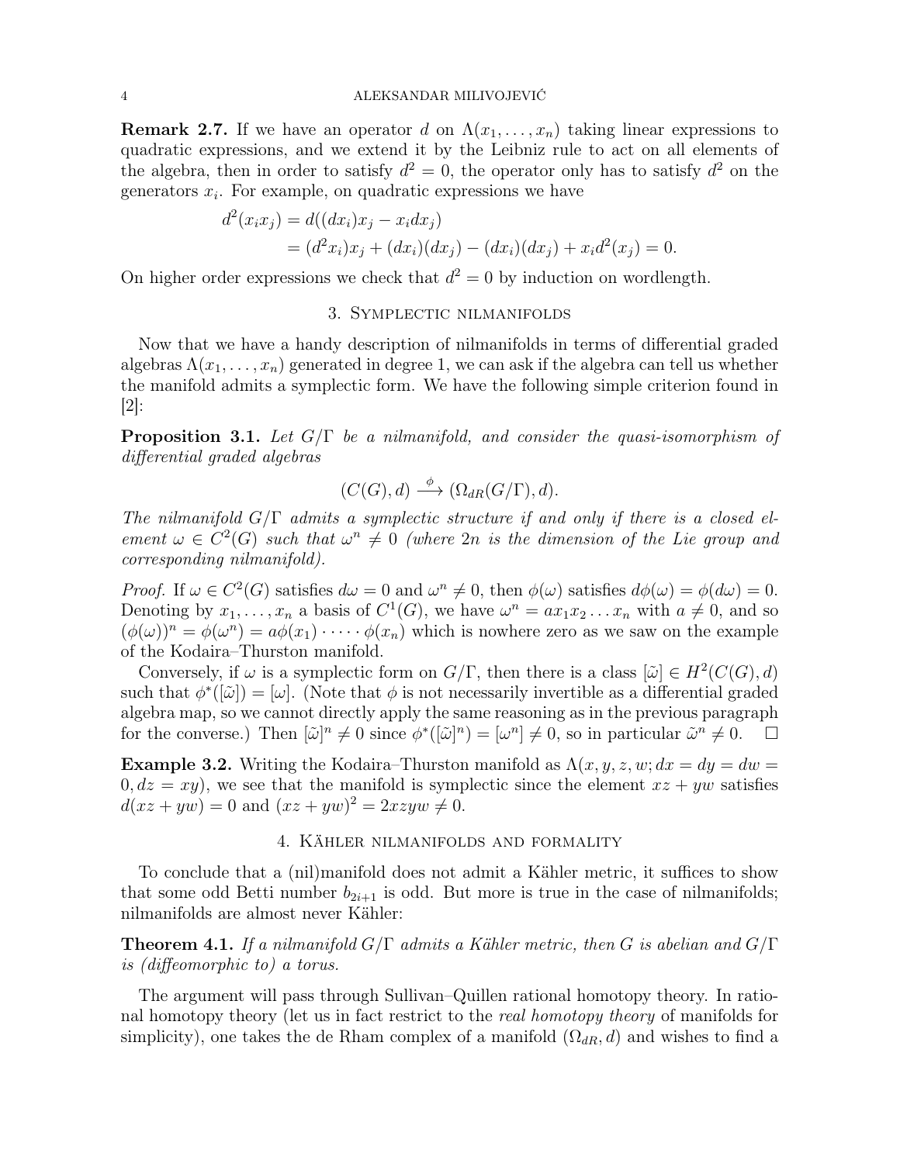**Remark 2.7.** If we have an operator d on  $\Lambda(x_1, \ldots, x_n)$  taking linear expressions to quadratic expressions, and we extend it by the Leibniz rule to act on all elements of the algebra, then in order to satisfy  $d^2 = 0$ , the operator only has to satisfy  $d^2$  on the generators  $x_i$ . For example, on quadratic expressions we have

$$
d^{2}(x_{i}x_{j}) = d((dx_{i})x_{j} - x_{i}dx_{j})
$$
  
=  $(d^{2}x_{i})x_{j} + (dx_{i})(dx_{j}) - (dx_{i})(dx_{j}) + x_{i}d^{2}(x_{j}) = 0.$ 

On higher order expressions we check that  $d^2 = 0$  by induction on wordlength.

## 3. Symplectic nilmanifolds

Now that we have a handy description of nilmanifolds in terms of differential graded algebras  $\Lambda(x_1, \ldots, x_n)$  generated in degree 1, we can ask if the algebra can tell us whether the manifold admits a symplectic form. We have the following simple criterion found in  $|2|$ :

**Proposition 3.1.** Let  $G/\Gamma$  be a nilmanifold, and consider the quasi-isomorphism of differential graded algebras

$$
(C(G),d) \xrightarrow{\phi} (\Omega_{dR}(G/\Gamma),d).
$$

The nilmanifold  $G/\Gamma$  admits a symplectic structure if and only if there is a closed element  $\omega \in C^2(G)$  such that  $\omega^n \neq 0$  (where  $2n$  is the dimension of the Lie group and corresponding nilmanifold).

Proof. If  $\omega \in C^2(G)$  satisfies  $d\omega = 0$  and  $\omega^n \neq 0$ , then  $\phi(\omega)$  satisfies  $d\phi(\omega) = \phi(d\omega) = 0$ . Denoting by  $x_1, \ldots, x_n$  a basis of  $C^1(G)$ , we have  $\omega^n = ax_1x_2 \ldots x_n$  with  $a \neq 0$ , and so  $(\phi(\omega))^n = \phi(\omega^n) = a\phi(x_1)\cdot\cdots\cdot\phi(x_n)$  which is nowhere zero as we saw on the example of the Kodaira–Thurston manifold.

Conversely, if  $\omega$  is a symplectic form on  $G/\Gamma$ , then there is a class  $[\tilde{\omega}] \in H^2(C(G), d)$ such that  $\phi^*([\tilde{\omega}]) = [\omega]$ . (Note that  $\phi$  is not necessarily invertible as a differential graded algebra map, so we cannot directly apply the same reasoning as in the previous paragraph for the converse.) Then  $[\tilde{\omega}]^n \neq 0$  since  $\phi^*([\tilde{\omega}]^n) = [\omega^n] \neq 0$ , so in particular  $\tilde{\omega}^n \neq 0$ .  $\square$ 

**Example 3.2.** Writing the Kodaira–Thurston manifold as  $\Lambda(x, y, z, w; dx = dy = dw =$  $0, dz = xy$ , we see that the manifold is symplectic since the element  $xz + yw$  satisfies  $d(xz + yw) = 0$  and  $(xz + yw)^2 = 2xzyw \neq 0$ .

## 4. Kähler nilmanifolds and formality

To conclude that a (nil)manifold does not admit a Kähler metric, it suffices to show that some odd Betti number  $b_{2i+1}$  is odd. But more is true in the case of nilmanifolds; nilmanifolds are almost never Kähler:

**Theorem 4.1.** If a nilmanifold  $G/\Gamma$  admits a Kähler metric, then G is abelian and  $G/\Gamma$ is (diffeomorphic to) a torus.

The argument will pass through Sullivan–Quillen rational homotopy theory. In rational homotopy theory (let us in fact restrict to the real homotopy theory of manifolds for simplicity), one takes the de Rham complex of a manifold  $(\Omega_{dR}, d)$  and wishes to find a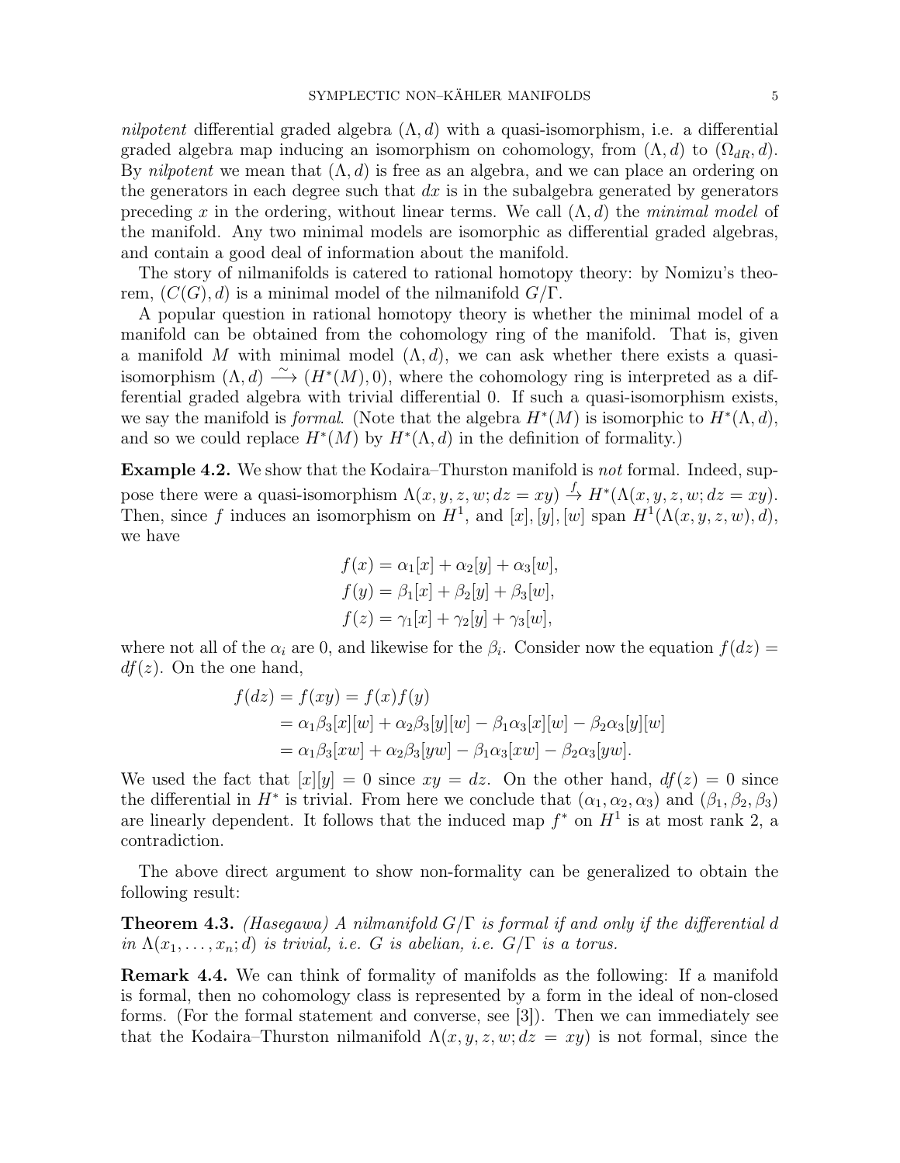nilpotent differential graded algebra  $(\Lambda, d)$  with a quasi-isomorphism, i.e. a differential graded algebra map inducing an isomorphism on cohomology, from  $(\Lambda, d)$  to  $(\Omega_{dR}, d)$ . By *nilpotent* we mean that  $(\Lambda, d)$  is free as an algebra, and we can place an ordering on the generators in each degree such that  $dx$  is in the subalgebra generated by generators preceding x in the ordering, without linear terms. We call  $(\Lambda, d)$  the minimal model of the manifold. Any two minimal models are isomorphic as differential graded algebras, and contain a good deal of information about the manifold.

The story of nilmanifolds is catered to rational homotopy theory: by Nomizu's theorem,  $(C(G), d)$  is a minimal model of the nilmanifold  $G/\Gamma$ .

A popular question in rational homotopy theory is whether the minimal model of a manifold can be obtained from the cohomology ring of the manifold. That is, given a manifold M with minimal model  $(\Lambda, d)$ , we can ask whether there exists a quasiisomorphism  $(\Lambda, d) \stackrel{\sim}{\longrightarrow} (H^*(M), 0)$ , where the cohomology ring is interpreted as a differential graded algebra with trivial differential 0. If such a quasi-isomorphism exists, we say the manifold is *formal*. (Note that the algebra  $H^*(M)$  is isomorphic to  $H^*(\Lambda, d)$ , and so we could replace  $H^*(M)$  by  $H^*(\Lambda, d)$  in the definition of formality.)

Example 4.2. We show that the Kodaira–Thurston manifold is not formal. Indeed, suppose there were a quasi-isomorphism  $\Lambda(x, y, z, w; dz = xy) \stackrel{f}{\rightarrow} H^*(\Lambda(x, y, z, w; dz = xy)$ . Then, since f induces an isomorphism on  $H^1$ , and  $[x]$ ,  $[y]$ ,  $[w]$  span  $H^1(\Lambda(x,y,z,w), d)$ , we have

$$
f(x) = \alpha_1[x] + \alpha_2[y] + \alpha_3[w],
$$
  
\n
$$
f(y) = \beta_1[x] + \beta_2[y] + \beta_3[w],
$$
  
\n
$$
f(z) = \gamma_1[x] + \gamma_2[y] + \gamma_3[w],
$$

where not all of the  $\alpha_i$  are 0, and likewise for the  $\beta_i$ . Consider now the equation  $f(dz) =$  $df(z)$ . On the one hand,

$$
f(dz) = f(xy) = f(x)f(y)
$$
  
=  $\alpha_1\beta_3[x][w] + \alpha_2\beta_3[y][w] - \beta_1\alpha_3[x][w] - \beta_2\alpha_3[y][w]$   
=  $\alpha_1\beta_3[xw] + \alpha_2\beta_3[yw] - \beta_1\alpha_3[xw] - \beta_2\alpha_3[yw].$ 

We used the fact that  $[x][y] = 0$  since  $xy = dz$ . On the other hand,  $df(z) = 0$  since the differential in  $H^*$  is trivial. From here we conclude that  $(\alpha_1, \alpha_2, \alpha_3)$  and  $(\beta_1, \beta_2, \beta_3)$ are linearly dependent. It follows that the induced map  $f^*$  on  $H^1$  is at most rank 2, a contradiction.

The above direct argument to show non-formality can be generalized to obtain the following result:

**Theorem 4.3.** (Hasegawa) A nilmanifold  $G/\Gamma$  is formal if and only if the differential d in  $\Lambda(x_1, \ldots, x_n; d)$  is trivial, i.e. G is abelian, i.e.  $G/\Gamma$  is a torus.

Remark 4.4. We can think of formality of manifolds as the following: If a manifold is formal, then no cohomology class is represented by a form in the ideal of non-closed forms. (For the formal statement and converse, see [3]). Then we can immediately see that the Kodaira–Thurston nilmanifold  $\Lambda(x, y, z, w; dz = xy)$  is not formal, since the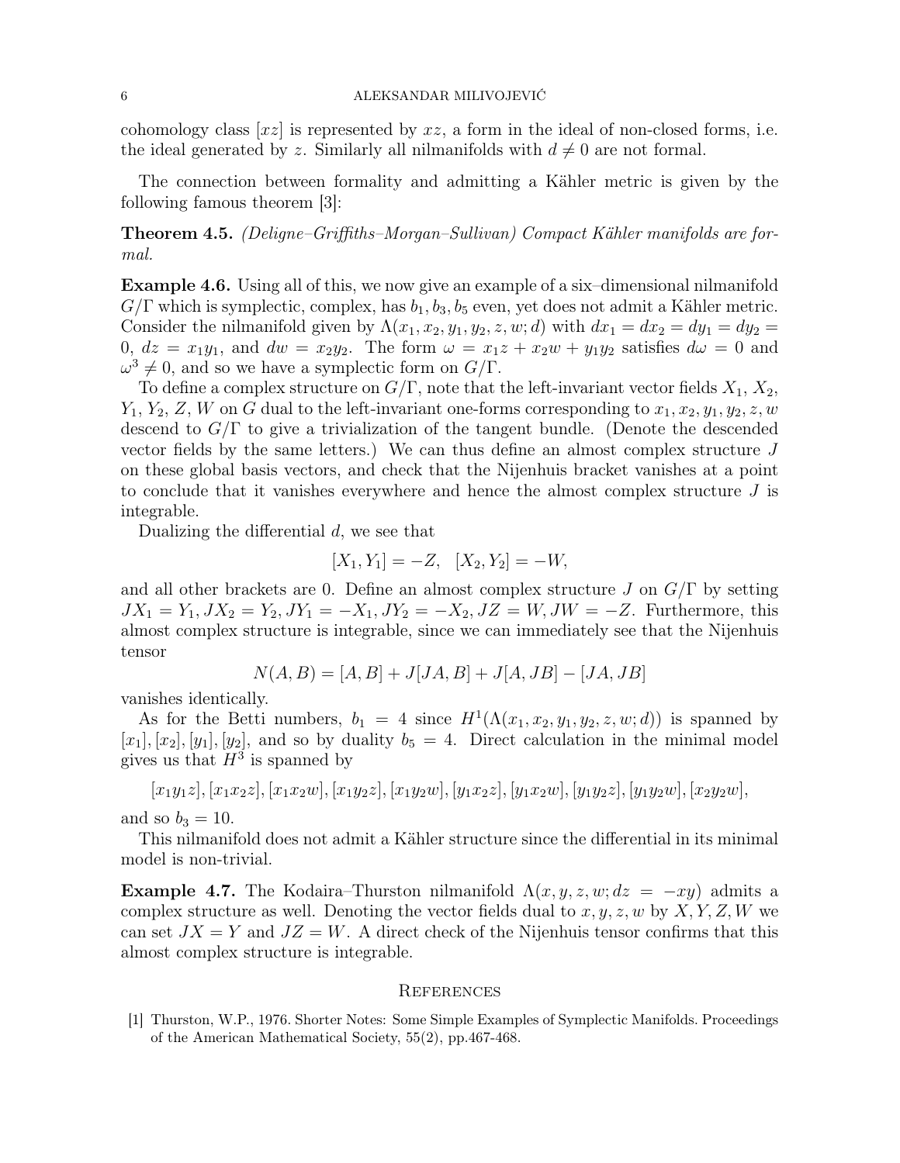cohomology class  $[xz]$  is represented by  $xz$ , a form in the ideal of non-closed forms, i.e. the ideal generated by z. Similarly all nilmanifolds with  $d \neq 0$  are not formal.

The connection between formality and admitting a Kähler metric is given by the following famous theorem [3]:

Theorem 4.5. (Deligne–Griffiths–Morgan–Sullivan) Compact Kähler manifolds are formal.

Example 4.6. Using all of this, we now give an example of a six–dimensional nilmanifold  $G/\Gamma$  which is symplectic, complex, has  $b_1, b_3, b_5$  even, yet does not admit a Kähler metric. Consider the nilmanifold given by  $\Lambda(x_1, x_2, y_1, y_2, z, w; d)$  with  $dx_1 = dx_2 = dy_1 = dy_2$ 0,  $dz = x_1y_1$ , and  $dw = x_2y_2$ . The form  $\omega = x_1z + x_2w + y_1y_2$  satisfies  $d\omega = 0$  and  $\omega^3 \neq 0$ , and so we have a symplectic form on  $G/\Gamma$ .

To define a complex structure on  $G/\Gamma$ , note that the left-invariant vector fields  $X_1, X_2,$  $Y_1, Y_2, Z, W$  on G dual to the left-invariant one-forms corresponding to  $x_1, x_2, y_1, y_2, z, w$ descend to  $G/\Gamma$  to give a trivialization of the tangent bundle. (Denote the descended vector fields by the same letters.) We can thus define an almost complex structure  $J$ on these global basis vectors, and check that the Nijenhuis bracket vanishes at a point to conclude that it vanishes everywhere and hence the almost complex structure  $J$  is integrable.

Dualizing the differential  $d$ , we see that

$$
[X_1, Y_1] = -Z, \quad [X_2, Y_2] = -W,
$$

and all other brackets are 0. Define an almost complex structure J on  $G/\Gamma$  by setting  $JX_1 = Y_1, JX_2 = Y_2, JY_1 = -X_1, JY_2 = -X_2, JZ = W, JW = -Z$ . Furthermore, this almost complex structure is integrable, since we can immediately see that the Nijenhuis tensor

$$
N(A, B) = [A, B] + J[JA, B] + J[A, JB] - [JA, JB]
$$

vanishes identically.

As for the Betti numbers,  $b_1 = 4$  since  $H^1(\Lambda(x_1, x_2, y_1, y_2, z, w; d))$  is spanned by  $[x_1], [x_2], [y_1], [y_2],$  and so by duality  $b_5 = 4$ . Direct calculation in the minimal model gives us that  $H^3$  is spanned by

$$
[x_1y_1z], [x_1x_2z], [x_1x_2w], [x_1y_2z], [x_1y_2w], [y_1x_2z], [y_1x_2w], [y_1y_2z], [y_1y_2w], [x_2y_2w], [x_1y_2w], [x_1y_2w], [x_1y_2w], [x_1y_2w], [x_1y_2w], [x_1y_2w], [x_1y_2w], [x_1y_2w], [x_1y_2w], [x_1y_2w], [x_1y_2w], [x_1y_2w], [x_1y_2w], [x_1y_2w], [x_1y_2w], [x_1y_2w], [x_1y_2w], [x_1y_2w], [x_1y_2w], [x_1y_2w], [x_1y_2w], [x_1y_2w], [x_1y_2w], [x_1y_2w], [x_1y_2w], [x_1y_2w], [x_1y_2w], [x_1y_2w], [x_1y_2w], [x_1y_2w], [x_1y_2w], [x_1y_2w], [x_1y_2w], [x_1y_2w], [x_1y_2w], [x_1y_2w], [x_1y_2w], [x_1y_2w], [x_1y_2w], [x_1y_2w], [x_1y_2w], [x_1y_2w], [x_1y_2w], [x_1y_2w], [x_1y_2w], [x_1y_2w], [x_1y_2w], [x_1y_2w], [x_1y_2w], [x_1y_2w], [x_1y_2w], [x_1y_2w], [x_1y_2w], [x_1y_2w], [x_1y_2w], [x_1y_2w], [x_1y_2w], [x_1y_2w], [x_1y_2w], [x_1y_2w], [x_1y_2w], [x_1y_2w], [x_1y_2w], [x_1y_2w], [x_1y_2w], [x_1y_2w], [x_1y_2w], [x_1y_2w], [x_1y_2w], [x_1y_2w], [x_1y_2w], [x_1y_2w], [x_1y_2w], [x_1y_2w], [x_
$$

and so  $b_3 = 10$ .

This nilmanifold does not admit a Kähler structure since the differential in its minimal model is non-trivial.

**Example 4.7.** The Kodaira–Thurston nilmanifold  $\Lambda(x, y, z, w; dz = -xy)$  admits a complex structure as well. Denoting the vector fields dual to  $x, y, z, w$  by  $X, Y, Z, W$  we can set  $JX = Y$  and  $JZ = W$ . A direct check of the Nijenhuis tensor confirms that this almost complex structure is integrable.

#### **REFERENCES**

[1] Thurston, W.P., 1976. Shorter Notes: Some Simple Examples of Symplectic Manifolds. Proceedings of the American Mathematical Society, 55(2), pp.467-468.